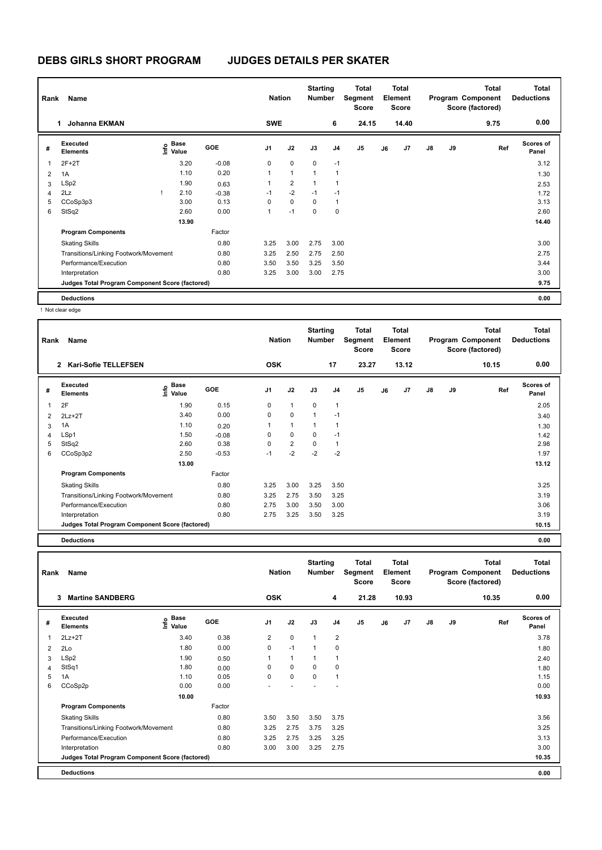| Rank | Name                                            |                                             | <b>Nation</b> |                | <b>Starting</b><br><b>Number</b> |              | <b>Total</b><br>Segment<br><b>Score</b> |                | <b>Total</b><br>Element<br><b>Score</b> |       |               | <b>Total</b><br>Program Component<br>Score (factored) | <b>Total</b><br><b>Deductions</b> |                           |
|------|-------------------------------------------------|---------------------------------------------|---------------|----------------|----------------------------------|--------------|-----------------------------------------|----------------|-----------------------------------------|-------|---------------|-------------------------------------------------------|-----------------------------------|---------------------------|
|      | <b>Johanna EKMAN</b><br>1                       |                                             |               | <b>SWE</b>     |                                  |              | 6                                       | 24.15          |                                         | 14.40 |               |                                                       | 9.75                              | 0.00                      |
| #    | Executed<br><b>Elements</b>                     | <b>Base</b><br>e <sup>Base</sup><br>⊆ Value | <b>GOE</b>    | J <sub>1</sub> | J2                               | J3           | J <sub>4</sub>                          | J <sub>5</sub> | J6                                      | J7    | $\mathsf{J}8$ | J9                                                    | Ref                               | <b>Scores of</b><br>Panel |
| 1    | $2F+2T$                                         | 3.20                                        | $-0.08$       | 0              | $\mathbf 0$                      | $\mathbf 0$  | $-1$                                    |                |                                         |       |               |                                                       |                                   | 3.12                      |
| 2    | 1A                                              | 1.10                                        | 0.20          | 1              | $\mathbf{1}$                     | 1            | 1                                       |                |                                         |       |               |                                                       |                                   | 1.30                      |
| 3    | LSp2                                            | 1.90                                        | 0.63          | 1              | $\overline{\mathbf{c}}$          | $\mathbf{1}$ | 1                                       |                |                                         |       |               |                                                       |                                   | 2.53                      |
| 4    | 2Lz                                             | 2.10                                        | $-0.38$       | $-1$           | $-2$                             | $-1$         | $-1$                                    |                |                                         |       |               |                                                       |                                   | 1.72                      |
| 5    | CCoSp3p3                                        | 3.00                                        | 0.13          | $\Omega$       | $\mathbf 0$                      | $\Omega$     | 1                                       |                |                                         |       |               |                                                       |                                   | 3.13                      |
| 6    | StSq2                                           | 2.60                                        | 0.00          | 1              | $-1$                             | 0            | 0                                       |                |                                         |       |               |                                                       |                                   | 2.60                      |
|      |                                                 | 13.90                                       |               |                |                                  |              |                                         |                |                                         |       |               |                                                       |                                   | 14.40                     |
|      | <b>Program Components</b>                       |                                             | Factor        |                |                                  |              |                                         |                |                                         |       |               |                                                       |                                   |                           |
|      | <b>Skating Skills</b>                           |                                             | 0.80          | 3.25           | 3.00                             | 2.75         | 3.00                                    |                |                                         |       |               |                                                       |                                   | 3.00                      |
|      | Transitions/Linking Footwork/Movement           |                                             | 0.80          | 3.25           | 2.50                             | 2.75         | 2.50                                    |                |                                         |       |               |                                                       |                                   | 2.75                      |
|      | Performance/Execution                           |                                             | 0.80          | 3.50           | 3.50                             | 3.25         | 3.50                                    |                |                                         |       |               |                                                       |                                   | 3.44                      |
|      | Interpretation                                  |                                             | 0.80          | 3.25           | 3.00                             | 3.00         | 2.75                                    |                |                                         |       |               |                                                       |                                   | 3.00                      |
|      | Judges Total Program Component Score (factored) |                                             |               |                |                                  |              |                                         |                |                                         |       |               |                                                       |                                   | 9.75                      |
|      | <b>Deductions</b>                               |                                             |               |                |                                  |              |                                         |                |                                         |       |               |                                                       |                                   | 0.00                      |

! Not clear edge

| Rank | Name<br><b>Kari-Sofie TELLEFSEN</b><br>$\mathbf{2}$ |                                           |            |                | <b>Nation</b>  | <b>Starting</b><br><b>Number</b> |                | <b>Total</b><br>Segment<br><b>Score</b> |    | <b>Total</b><br>Element<br><b>Score</b> |               |    | <b>Total</b><br>Program Component<br>Score (factored) | <b>Total</b><br><b>Deductions</b> |
|------|-----------------------------------------------------|-------------------------------------------|------------|----------------|----------------|----------------------------------|----------------|-----------------------------------------|----|-----------------------------------------|---------------|----|-------------------------------------------------------|-----------------------------------|
|      |                                                     |                                           |            | <b>OSK</b>     |                |                                  | 17             | 23.27                                   |    | 13.12                                   |               |    | 10.15                                                 | 0.00                              |
| #    | Executed<br><b>Elements</b>                         | $\frac{e}{E}$ Base<br>$\frac{E}{E}$ Value | <b>GOE</b> | J <sub>1</sub> | J2             | J3                               | J <sub>4</sub> | J <sub>5</sub>                          | J6 | J <sub>7</sub>                          | $\mathsf{J}8$ | J9 | Ref                                                   | <b>Scores of</b><br>Panel         |
|      | 2F                                                  | 1.90                                      | 0.15       | 0              | $\mathbf{1}$   | 0                                | $\overline{1}$ |                                         |    |                                         |               |    |                                                       | 2.05                              |
| 2    | $2Lz+2T$                                            | 3.40                                      | 0.00       | 0              | 0              | 1                                | $-1$           |                                         |    |                                         |               |    |                                                       | 3.40                              |
| 3    | 1A                                                  | 1.10                                      | 0.20       |                | $\overline{1}$ | 1                                | 1              |                                         |    |                                         |               |    |                                                       | 1.30                              |
| 4    | LSp1                                                | 1.50                                      | $-0.08$    | 0              | $\mathbf 0$    | 0                                | $-1$           |                                         |    |                                         |               |    |                                                       | 1.42                              |
| 5    | StSq2                                               | 2.60                                      | 0.38       | 0              | $\overline{2}$ | $\Omega$                         | $\overline{1}$ |                                         |    |                                         |               |    |                                                       | 2.98                              |
| 6    | CCoSp3p2                                            | 2.50                                      | $-0.53$    | $-1$           | $-2$           | $-2$                             | $-2$           |                                         |    |                                         |               |    |                                                       | 1.97                              |
|      |                                                     | 13.00                                     |            |                |                |                                  |                |                                         |    |                                         |               |    |                                                       | 13.12                             |
|      | <b>Program Components</b>                           |                                           | Factor     |                |                |                                  |                |                                         |    |                                         |               |    |                                                       |                                   |
|      | <b>Skating Skills</b>                               |                                           | 0.80       | 3.25           | 3.00           | 3.25                             | 3.50           |                                         |    |                                         |               |    |                                                       | 3.25                              |
|      | Transitions/Linking Footwork/Movement               |                                           | 0.80       | 3.25           | 2.75           | 3.50                             | 3.25           |                                         |    |                                         |               |    |                                                       | 3.19                              |
|      | Performance/Execution                               |                                           | 0.80       | 2.75           | 3.00           | 3.50                             | 3.00           |                                         |    |                                         |               |    |                                                       | 3.06                              |
|      | Interpretation                                      |                                           | 0.80       | 2.75           | 3.25           | 3.50                             | 3.25           |                                         |    |                                         |               |    |                                                       | 3.19                              |
|      | Judges Total Program Component Score (factored)     |                                           |            |                |                |                                  |                |                                         |    |                                         |               |    |                                                       | 10.15                             |

**Deductions 0.00**

| Rank | Name                                            | <b>Nation</b>             |            | <b>Starting</b><br><b>Number</b> |                | Total<br>Segment<br><b>Score</b> |                | <b>Total</b><br>Element<br><b>Score</b> |    |                | <b>Total</b><br>Program Component<br>Score (factored) | <b>Total</b><br><b>Deductions</b> |       |                           |
|------|-------------------------------------------------|---------------------------|------------|----------------------------------|----------------|----------------------------------|----------------|-----------------------------------------|----|----------------|-------------------------------------------------------|-----------------------------------|-------|---------------------------|
|      | <b>Martine SANDBERG</b><br>3                    |                           |            | <b>OSK</b>                       |                |                                  | 4              | 21.28                                   |    | 10.93          |                                                       |                                   | 10.35 | 0.00                      |
| #    | Executed<br><b>Elements</b>                     | Base<br>e Base<br>⊆ Value | <b>GOE</b> | J <sub>1</sub>                   | J2             | J3                               | J <sub>4</sub> | J <sub>5</sub>                          | J6 | J <sub>7</sub> | J8                                                    | J9                                | Ref   | <b>Scores of</b><br>Panel |
| 1    | $2Lz+2T$                                        | 3.40                      | 0.38       | $\overline{2}$                   | $\mathbf 0$    | $\overline{1}$                   | $\overline{2}$ |                                         |    |                |                                                       |                                   |       | 3.78                      |
| 2    | 2Lo                                             | 1.80                      | 0.00       | 0                                | $-1$           | $\overline{1}$                   | 0              |                                         |    |                |                                                       |                                   |       | 1.80                      |
| 3    | LSp2                                            | 1.90                      | 0.50       |                                  | $\overline{1}$ |                                  | 1              |                                         |    |                |                                                       |                                   |       | 2.40                      |
| 4    | StSq1                                           | 1.80                      | 0.00       | 0                                | $\mathbf 0$    | 0                                | 0              |                                         |    |                |                                                       |                                   |       | 1.80                      |
| 5    | 1A                                              | 1.10                      | 0.05       | $\Omega$                         | $\mathbf 0$    | $\mathbf 0$                      | $\overline{1}$ |                                         |    |                |                                                       |                                   |       | 1.15                      |
| 6    | CCoSp2p                                         | 0.00                      | 0.00       |                                  |                |                                  |                |                                         |    |                |                                                       |                                   |       | 0.00                      |
|      |                                                 | 10.00                     |            |                                  |                |                                  |                |                                         |    |                |                                                       |                                   |       | 10.93                     |
|      | <b>Program Components</b>                       |                           | Factor     |                                  |                |                                  |                |                                         |    |                |                                                       |                                   |       |                           |
|      | <b>Skating Skills</b>                           |                           | 0.80       | 3.50                             | 3.50           | 3.50                             | 3.75           |                                         |    |                |                                                       |                                   |       | 3.56                      |
|      | Transitions/Linking Footwork/Movement           |                           | 0.80       | 3.25                             | 2.75           | 3.75                             | 3.25           |                                         |    |                |                                                       |                                   |       | 3.25                      |
|      | Performance/Execution                           |                           | 0.80       | 3.25                             | 2.75           | 3.25                             | 3.25           |                                         |    |                |                                                       |                                   |       | 3.13                      |
|      | Interpretation                                  |                           | 0.80       | 3.00                             | 3.00           | 3.25                             | 2.75           |                                         |    |                |                                                       |                                   |       | 3.00                      |
|      | Judges Total Program Component Score (factored) |                           |            |                                  |                |                                  |                |                                         |    |                |                                                       |                                   |       | 10.35                     |
|      | <b>Deductions</b>                               |                           |            |                                  |                |                                  |                |                                         |    |                |                                                       |                                   |       | 0.00                      |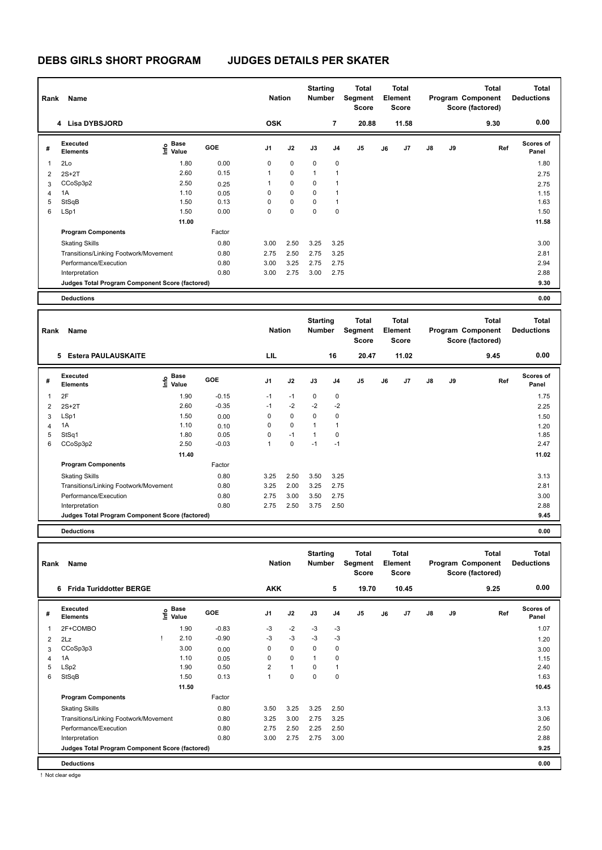|   | Name<br>Rank<br>4 Lisa DYBSJORD                 |                                    |            |                | <b>Nation</b> | <b>Starting</b><br><b>Number</b> |                | Total<br>Segment<br><b>Score</b> |    | <b>Total</b><br>Element<br><b>Score</b> |               |    | <b>Total</b><br>Program Component<br>Score (factored) | Total<br><b>Deductions</b> |
|---|-------------------------------------------------|------------------------------------|------------|----------------|---------------|----------------------------------|----------------|----------------------------------|----|-----------------------------------------|---------------|----|-------------------------------------------------------|----------------------------|
|   |                                                 |                                    |            | <b>OSK</b>     |               |                                  | 7              | 20.88                            |    | 11.58                                   |               |    | 9.30                                                  | 0.00                       |
| # | Executed<br><b>Elements</b>                     | <b>Base</b><br>$\frac{6}{5}$ Value | <b>GOE</b> | J <sub>1</sub> | J2            | J3                               | J <sub>4</sub> | J <sub>5</sub>                   | J6 | J <sub>7</sub>                          | $\mathsf{J}8$ | J9 | Ref                                                   | <b>Scores of</b><br>Panel  |
| 1 | 2Lo                                             | 1.80                               | 0.00       | 0              | $\mathbf 0$   | 0                                | 0              |                                  |    |                                         |               |    |                                                       | 1.80                       |
| 2 | $2S+2T$                                         | 2.60                               | 0.15       | 1              | $\mathbf 0$   | 1                                | 1              |                                  |    |                                         |               |    |                                                       | 2.75                       |
| 3 | CCoSp3p2                                        | 2.50                               | 0.25       | 1              | $\mathbf 0$   | 0                                | 1              |                                  |    |                                         |               |    |                                                       | 2.75                       |
| 4 | 1A                                              | 1.10                               | 0.05       | 0              | $\mathbf 0$   | 0                                | 1              |                                  |    |                                         |               |    |                                                       | 1.15                       |
| 5 | StSqB                                           | 1.50                               | 0.13       | 0              | 0             | 0                                | 1              |                                  |    |                                         |               |    |                                                       | 1.63                       |
| 6 | LSp1                                            | 1.50                               | 0.00       | 0              | 0             | 0                                | 0              |                                  |    |                                         |               |    |                                                       | 1.50                       |
|   |                                                 | 11.00                              |            |                |               |                                  |                |                                  |    |                                         |               |    |                                                       | 11.58                      |
|   | <b>Program Components</b>                       |                                    | Factor     |                |               |                                  |                |                                  |    |                                         |               |    |                                                       |                            |
|   | <b>Skating Skills</b>                           |                                    | 0.80       | 3.00           | 2.50          | 3.25                             | 3.25           |                                  |    |                                         |               |    |                                                       | 3.00                       |
|   | Transitions/Linking Footwork/Movement           |                                    | 0.80       | 2.75           | 2.50          | 2.75                             | 3.25           |                                  |    |                                         |               |    |                                                       | 2.81                       |
|   | Performance/Execution                           |                                    | 0.80       | 3.00           | 3.25          | 2.75                             | 2.75           |                                  |    |                                         |               |    |                                                       | 2.94                       |
|   | Interpretation                                  |                                    | 0.80       | 3.00           | 2.75          | 3.00                             | 2.75           |                                  |    |                                         |               |    |                                                       | 2.88                       |
|   | Judges Total Program Component Score (factored) |                                    |            |                |               |                                  |                |                                  |    |                                         |               |    |                                                       | 9.30                       |
|   | <b>Deductions</b>                               |                                    |            |                |               |                                  |                |                                  |    |                                         |               |    |                                                       | 0.00                       |

| Rank           | Name                                            |                             | <b>Nation</b> |                | <b>Starting</b><br><b>Number</b> |                | <b>Total</b><br>Segment<br><b>Score</b> |                | <b>Total</b><br>Element<br><b>Score</b> |                |    | <b>Total</b><br>Program Component<br>Score (factored) | <b>Total</b><br><b>Deductions</b> |                           |
|----------------|-------------------------------------------------|-----------------------------|---------------|----------------|----------------------------------|----------------|-----------------------------------------|----------------|-----------------------------------------|----------------|----|-------------------------------------------------------|-----------------------------------|---------------------------|
|                | <b>Estera PAULAUSKAITE</b><br>5                 |                             |               | LIL            |                                  |                | 16                                      | 20.47          |                                         | 11.02          |    |                                                       | 9.45                              | 0.00                      |
| #              | Executed<br><b>Elements</b>                     | Base<br>$\frac{6}{5}$ Value | <b>GOE</b>    | J <sub>1</sub> | J2                               | J3             | J4                                      | J <sub>5</sub> | J6                                      | J <sub>7</sub> | J8 | J9                                                    | Ref                               | <b>Scores of</b><br>Panel |
|                | 2F                                              | 1.90                        | $-0.15$       | $-1$           | $-1$                             | $\Omega$       | 0                                       |                |                                         |                |    |                                                       |                                   | 1.75                      |
| $\overline{2}$ | $2S+2T$                                         | 2.60                        | $-0.35$       | $-1$           | $-2$                             | $-2$           | $-2$                                    |                |                                         |                |    |                                                       |                                   | 2.25                      |
| 3              | LSp1                                            | 1.50                        | 0.00          | 0              | $\mathbf 0$                      | $\mathbf 0$    | 0                                       |                |                                         |                |    |                                                       |                                   | 1.50                      |
| $\overline{4}$ | 1A                                              | 1.10                        | 0.10          | 0              | $\mathbf 0$                      | $\overline{1}$ |                                         |                |                                         |                |    |                                                       |                                   | 1.20                      |
| 5              | StSq1                                           | 1.80                        | 0.05          | 0              | $-1$                             | 1              | 0                                       |                |                                         |                |    |                                                       |                                   | 1.85                      |
| 6              | CCoSp3p2                                        | 2.50                        | $-0.03$       | 1              | $\mathbf 0$                      | $-1$           | $-1$                                    |                |                                         |                |    |                                                       |                                   | 2.47                      |
|                |                                                 | 11.40                       |               |                |                                  |                |                                         |                |                                         |                |    |                                                       |                                   | 11.02                     |
|                | <b>Program Components</b>                       |                             | Factor        |                |                                  |                |                                         |                |                                         |                |    |                                                       |                                   |                           |
|                | <b>Skating Skills</b>                           |                             | 0.80          | 3.25           | 2.50                             | 3.50           | 3.25                                    |                |                                         |                |    |                                                       |                                   | 3.13                      |
|                | Transitions/Linking Footwork/Movement           |                             | 0.80          | 3.25           | 2.00                             | 3.25           | 2.75                                    |                |                                         |                |    |                                                       |                                   | 2.81                      |
|                | Performance/Execution                           |                             | 0.80          | 2.75           | 3.00                             | 3.50           | 2.75                                    |                |                                         |                |    |                                                       |                                   | 3.00                      |
|                | Interpretation                                  |                             | 0.80          | 2.75           | 2.50                             | 3.75           | 2.50                                    |                |                                         |                |    |                                                       |                                   | 2.88                      |
|                | Judges Total Program Component Score (factored) |                             |               |                |                                  |                |                                         |                |                                         |                |    |                                                       |                                   | 9.45                      |
|                |                                                 |                             |               |                |                                  |                |                                         |                |                                         |                |    |                                                       |                                   |                           |

**Deductions 0.00**

**Total Deductions Total Program Component Score (factored) Total Element Segment Score Total Score Starting Rank Name Nation Number # Executed Elements Base Value GOE J1 J2 J3 J4 J5 J6 J7 J8 J9 Scores of Panel** 1 1.90 -0.83 -3 -2 -3 -3 **Ref**  2F+COMBO 1.07 **Info 6 Frida Turiddotter BERGE AKK 5 19.70 10.45 9.25 0.00** 2 2Lz ! 2.10 -0.90 -3 -3 -3 -3 1.20 3 CCoSp3p3 3.00 0.00 0 0 0 0 3.00 4 1A 1.10 0.05 0 0 1 0 1.15 5 LSp2 1.90 0.50 2 1 0 1 2.40 6 StSqB 1.50 0.13 1 0 0 0 1.63 **11.50 10.45 Program Components**  Skating Skills 3.50 3.25 3.25 3.25 3.25 Factor 0.80 3.13 Transitions/Linking Footwork/Movement 0.80 3.25 3.00 2.75 3.25 3.06 Performance/Execution 0.80 2.75 2.50 2.25 2.50 2.50 Interpretation 0.80 0.80 3.00 2.75 2.75 3.00 3.00 2.88 **Deductions 0.00 Judges Total Program Component Score (factored) 9.25**

! Not clear edge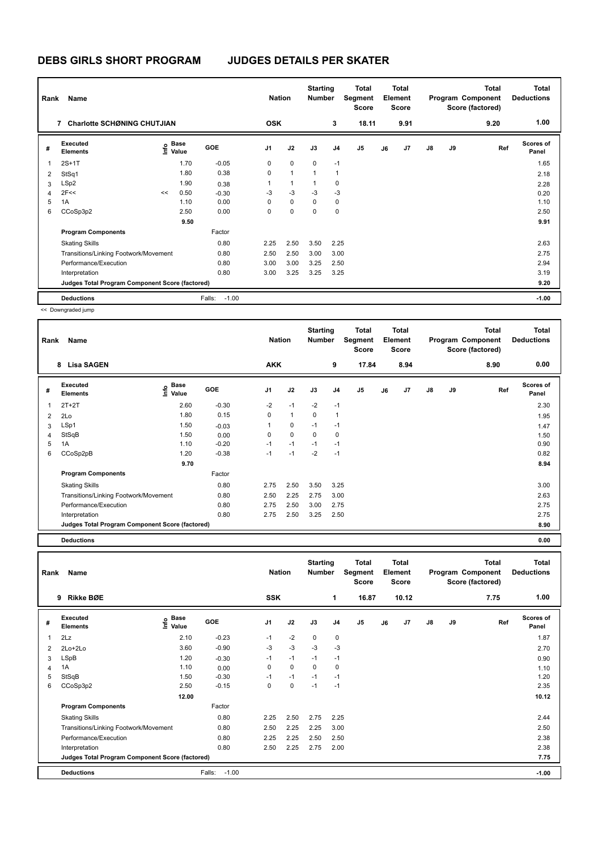| Rank | Name                                            |    | <b>Nation</b>                    |                   | <b>Starting</b><br><b>Number</b> |              | Total<br>Segment<br><b>Score</b> |                | Total<br>Element<br><b>Score</b> |    |                | Total<br>Program Component<br>Score (factored) | <b>Total</b><br><b>Deductions</b> |      |                           |
|------|-------------------------------------------------|----|----------------------------------|-------------------|----------------------------------|--------------|----------------------------------|----------------|----------------------------------|----|----------------|------------------------------------------------|-----------------------------------|------|---------------------------|
|      | <b>Charlotte SCHØNING CHUTJIAN</b><br>7         |    |                                  |                   | <b>OSK</b>                       |              |                                  | 3              | 18.11                            |    | 9.91           |                                                |                                   | 9.20 | 1.00                      |
| #    | Executed<br><b>Elements</b>                     |    | <b>Base</b><br>e Base<br>⊆ Value | GOE               | J <sub>1</sub>                   | J2           | J3                               | J <sub>4</sub> | J <sub>5</sub>                   | J6 | J <sub>7</sub> | $\mathsf{J}8$                                  | J9                                | Ref  | <b>Scores of</b><br>Panel |
| 1    | $2S+1T$                                         |    | 1.70                             | $-0.05$           | 0                                | $\mathbf 0$  | $\mathbf 0$                      | $-1$           |                                  |    |                |                                                |                                   |      | 1.65                      |
| 2    | StSq1                                           |    | 1.80                             | 0.38              | 0                                | $\mathbf{1}$ | 1                                | 1              |                                  |    |                |                                                |                                   |      | 2.18                      |
| 3    | LSp2                                            |    | 1.90                             | 0.38              | 1                                | 1            | 1                                | 0              |                                  |    |                |                                                |                                   |      | 2.28                      |
| 4    | 2F<<                                            | << | 0.50                             | $-0.30$           | $-3$                             | $-3$         | $-3$                             | -3             |                                  |    |                |                                                |                                   |      | 0.20                      |
| 5    | 1A                                              |    | 1.10                             | 0.00              | 0                                | $\mathbf 0$  | 0                                | 0              |                                  |    |                |                                                |                                   |      | 1.10                      |
| 6    | CCoSp3p2                                        |    | 2.50                             | 0.00              | 0                                | 0            | 0                                | 0              |                                  |    |                |                                                |                                   |      | 2.50                      |
|      |                                                 |    | 9.50                             |                   |                                  |              |                                  |                |                                  |    |                |                                                |                                   |      | 9.91                      |
|      | <b>Program Components</b>                       |    |                                  | Factor            |                                  |              |                                  |                |                                  |    |                |                                                |                                   |      |                           |
|      | <b>Skating Skills</b>                           |    |                                  | 0.80              | 2.25                             | 2.50         | 3.50                             | 2.25           |                                  |    |                |                                                |                                   |      | 2.63                      |
|      | Transitions/Linking Footwork/Movement           |    |                                  | 0.80              | 2.50                             | 2.50         | 3.00                             | 3.00           |                                  |    |                |                                                |                                   |      | 2.75                      |
|      | Performance/Execution                           |    |                                  | 0.80              | 3.00                             | 3.00         | 3.25                             | 2.50           |                                  |    |                |                                                |                                   |      | 2.94                      |
|      | Interpretation                                  |    |                                  | 0.80              | 3.00                             | 3.25         | 3.25                             | 3.25           |                                  |    |                |                                                |                                   |      | 3.19                      |
|      | Judges Total Program Component Score (factored) |    |                                  |                   |                                  |              |                                  |                |                                  |    |                |                                                |                                   |      | 9.20                      |
|      | <b>Deductions</b>                               |    |                                  | $-1.00$<br>Falls: |                                  |              |                                  |                |                                  |    |                |                                                |                                   |      | $-1.00$                   |

<< Downgraded jump

| Rank | Name                                            |                                  |            | <b>Nation</b>  |              | <b>Starting</b><br><b>Number</b> |                | Total<br>Segment<br><b>Score</b> |    | <b>Total</b><br>Element<br><b>Score</b> |               |    | <b>Total</b><br>Program Component<br>Score (factored) | <b>Total</b><br><b>Deductions</b> |
|------|-------------------------------------------------|----------------------------------|------------|----------------|--------------|----------------------------------|----------------|----------------------------------|----|-----------------------------------------|---------------|----|-------------------------------------------------------|-----------------------------------|
|      | <b>Lisa SAGEN</b><br>8                          |                                  |            | <b>AKK</b>     |              |                                  | 9              | 17.84                            |    | 8.94                                    |               |    | 8.90                                                  | 0.00                              |
| #    | Executed<br><b>Elements</b>                     | <b>Base</b><br>e Base<br>⊆ Value | <b>GOE</b> | J <sub>1</sub> | J2           | J3                               | J <sub>4</sub> | J <sub>5</sub>                   | J6 | J7                                      | $\mathsf{J}8$ | J9 | Ref                                                   | Scores of<br>Panel                |
|      | $2T+2T$                                         | 2.60                             | $-0.30$    | $-2$           | $-1$         | $-2$                             | $-1$           |                                  |    |                                         |               |    |                                                       | 2.30                              |
| 2    | 2Lo                                             | 1.80                             | 0.15       | 0              | $\mathbf{1}$ | 0                                | 1              |                                  |    |                                         |               |    |                                                       | 1.95                              |
| 3    | LSp1                                            | 1.50                             | $-0.03$    | 1              | 0            | $-1$                             | $-1$           |                                  |    |                                         |               |    |                                                       | 1.47                              |
| 4    | StSqB                                           | 1.50                             | 0.00       | 0              | $\mathbf 0$  | $\Omega$                         | 0              |                                  |    |                                         |               |    |                                                       | 1.50                              |
| 5    | 1A                                              | 1.10                             | $-0.20$    | $-1$           | $-1$         | $-1$                             | $-1$           |                                  |    |                                         |               |    |                                                       | 0.90                              |
| 6    | CCoSp2pB                                        | 1.20                             | $-0.38$    | $-1$           | $-1$         | $-2$                             | $-1$           |                                  |    |                                         |               |    |                                                       | 0.82                              |
|      |                                                 | 9.70                             |            |                |              |                                  |                |                                  |    |                                         |               |    |                                                       | 8.94                              |
|      | <b>Program Components</b>                       |                                  | Factor     |                |              |                                  |                |                                  |    |                                         |               |    |                                                       |                                   |
|      | <b>Skating Skills</b>                           |                                  | 0.80       | 2.75           | 2.50         | 3.50                             | 3.25           |                                  |    |                                         |               |    |                                                       | 3.00                              |
|      | Transitions/Linking Footwork/Movement           |                                  | 0.80       | 2.50           | 2.25         | 2.75                             | 3.00           |                                  |    |                                         |               |    |                                                       | 2.63                              |
|      | Performance/Execution                           |                                  | 0.80       | 2.75           | 2.50         | 3.00                             | 2.75           |                                  |    |                                         |               |    |                                                       | 2.75                              |
|      | Interpretation                                  |                                  | 0.80       | 2.75           | 2.50         | 3.25                             | 2.50           |                                  |    |                                         |               |    |                                                       | 2.75                              |
|      | Judges Total Program Component Score (factored) |                                  |            |                |              |                                  |                |                                  |    |                                         |               |    |                                                       | 8.90                              |

**Deductions 0.00**

| Rank | Name                                            |                           |                   | <b>Nation</b>  |      | <b>Starting</b><br><b>Number</b> |                | Total<br>Segment<br><b>Score</b> |    | Total<br>Element<br><b>Score</b> |    |    | <b>Total</b><br>Program Component<br>Score (factored) | <b>Total</b><br><b>Deductions</b> |
|------|-------------------------------------------------|---------------------------|-------------------|----------------|------|----------------------------------|----------------|----------------------------------|----|----------------------------------|----|----|-------------------------------------------------------|-----------------------------------|
|      | Rikke BØE<br>9                                  |                           |                   | <b>SSK</b>     |      |                                  | 1              | 16.87                            |    | 10.12                            |    |    | 7.75                                                  | 1.00                              |
| #    | Executed<br><b>Elements</b>                     | Base<br>e Base<br>⊆ Value | <b>GOE</b>        | J <sub>1</sub> | J2   | J3                               | J <sub>4</sub> | J <sub>5</sub>                   | J6 | J <sub>7</sub>                   | J8 | J9 | Ref                                                   | <b>Scores of</b><br>Panel         |
| 1    | 2Lz                                             | 2.10                      | $-0.23$           | $-1$           | $-2$ | 0                                | 0              |                                  |    |                                  |    |    |                                                       | 1.87                              |
| 2    | $2Lo+2Lo$                                       | 3.60                      | $-0.90$           | -3             | $-3$ | $-3$                             | $-3$           |                                  |    |                                  |    |    |                                                       | 2.70                              |
| 3    | LSpB                                            | 1.20                      | $-0.30$           | $-1$           | $-1$ | $-1$                             | $-1$           |                                  |    |                                  |    |    |                                                       | 0.90                              |
| 4    | 1A                                              | 1.10                      | 0.00              | 0              | 0    | 0                                | 0              |                                  |    |                                  |    |    |                                                       | 1.10                              |
| 5    | StSqB                                           | 1.50                      | $-0.30$           | $-1$           | $-1$ | $-1$                             | $-1$           |                                  |    |                                  |    |    |                                                       | 1.20                              |
| 6    | CCoSp3p2                                        | 2.50                      | $-0.15$           | 0              | 0    | $-1$                             | $-1$           |                                  |    |                                  |    |    |                                                       | 2.35                              |
|      |                                                 | 12.00                     |                   |                |      |                                  |                |                                  |    |                                  |    |    |                                                       | 10.12                             |
|      | <b>Program Components</b>                       |                           | Factor            |                |      |                                  |                |                                  |    |                                  |    |    |                                                       |                                   |
|      | <b>Skating Skills</b>                           |                           | 0.80              | 2.25           | 2.50 | 2.75                             | 2.25           |                                  |    |                                  |    |    |                                                       | 2.44                              |
|      | Transitions/Linking Footwork/Movement           |                           | 0.80              | 2.50           | 2.25 | 2.25                             | 3.00           |                                  |    |                                  |    |    |                                                       | 2.50                              |
|      | Performance/Execution                           |                           | 0.80              | 2.25           | 2.25 | 2.50                             | 2.50           |                                  |    |                                  |    |    |                                                       | 2.38                              |
|      | Interpretation                                  |                           | 0.80              | 2.50           | 2.25 | 2.75                             | 2.00           |                                  |    |                                  |    |    |                                                       | 2.38                              |
|      | Judges Total Program Component Score (factored) |                           |                   |                |      |                                  |                |                                  |    |                                  |    |    |                                                       | 7.75                              |
|      | <b>Deductions</b>                               |                           | $-1.00$<br>Falls: |                |      |                                  |                |                                  |    |                                  |    |    |                                                       | $-1.00$                           |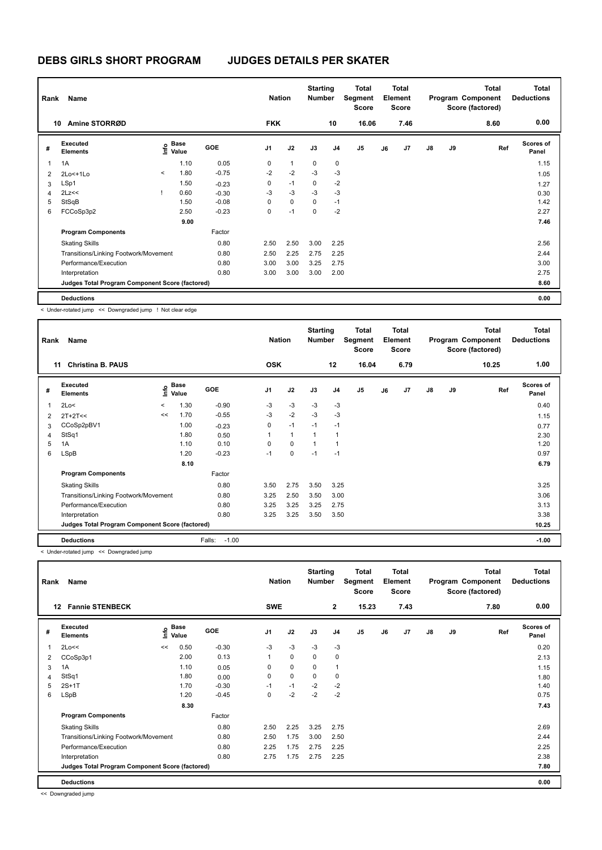| Rank         | Name                                            |         | <b>Nation</b>                               |            | <b>Starting</b><br><b>Number</b> |              | Total<br>Segment<br><b>Score</b> |                | <b>Total</b><br>Element<br><b>Score</b> |    |      | <b>Total</b><br>Program Component<br>Score (factored) | <b>Total</b><br><b>Deductions</b> |      |                           |
|--------------|-------------------------------------------------|---------|---------------------------------------------|------------|----------------------------------|--------------|----------------------------------|----------------|-----------------------------------------|----|------|-------------------------------------------------------|-----------------------------------|------|---------------------------|
| 10           | Amine STORRØD                                   |         |                                             |            | <b>FKK</b>                       |              |                                  | 10             | 16.06                                   |    | 7.46 |                                                       |                                   | 8.60 | 0.00                      |
| #            | Executed<br><b>Elements</b>                     |         | <b>Base</b><br>e <sup>Base</sup><br>⊆ Value | <b>GOE</b> | J <sub>1</sub>                   | J2           | J3                               | J <sub>4</sub> | J <sub>5</sub>                          | J6 | J7   | $\mathsf{J}8$                                         | J9                                | Ref  | <b>Scores of</b><br>Panel |
| $\mathbf{1}$ | 1A                                              |         | 1.10                                        | 0.05       | 0                                | $\mathbf{1}$ | 0                                | 0              |                                         |    |      |                                                       |                                   |      | 1.15                      |
| 2            | $2Lo<+1Lo$                                      | $\prec$ | 1.80                                        | $-0.75$    | $-2$                             | $-2$         | $-3$                             | $-3$           |                                         |    |      |                                                       |                                   |      | 1.05                      |
| 3            | LSp1                                            |         | 1.50                                        | $-0.23$    | 0                                | $-1$         | $\mathbf 0$                      | $-2$           |                                         |    |      |                                                       |                                   |      | 1.27                      |
| 4            | 2Lz<<                                           |         | 0.60                                        | $-0.30$    | -3                               | $-3$         | $-3$                             | $-3$           |                                         |    |      |                                                       |                                   |      | 0.30                      |
| 5            | StSqB                                           |         | 1.50                                        | $-0.08$    | 0                                | 0            | $\Omega$                         | $-1$           |                                         |    |      |                                                       |                                   |      | 1.42                      |
| 6            | FCCoSp3p2                                       |         | 2.50                                        | $-0.23$    | 0                                | $-1$         | $\Omega$                         | $-2$           |                                         |    |      |                                                       |                                   |      | 2.27                      |
|              |                                                 |         | 9.00                                        |            |                                  |              |                                  |                |                                         |    |      |                                                       |                                   |      | 7.46                      |
|              | <b>Program Components</b>                       |         |                                             | Factor     |                                  |              |                                  |                |                                         |    |      |                                                       |                                   |      |                           |
|              | <b>Skating Skills</b>                           |         |                                             | 0.80       | 2.50                             | 2.50         | 3.00                             | 2.25           |                                         |    |      |                                                       |                                   |      | 2.56                      |
|              | Transitions/Linking Footwork/Movement           |         |                                             | 0.80       | 2.50                             | 2.25         | 2.75                             | 2.25           |                                         |    |      |                                                       |                                   |      | 2.44                      |
|              | Performance/Execution                           |         |                                             | 0.80       | 3.00                             | 3.00         | 3.25                             | 2.75           |                                         |    |      |                                                       |                                   |      | 3.00                      |
|              | Interpretation                                  |         |                                             | 0.80       | 3.00                             | 3.00         | 3.00                             | 2.00           |                                         |    |      |                                                       |                                   |      | 2.75                      |
|              | Judges Total Program Component Score (factored) |         |                                             |            |                                  |              |                                  |                |                                         |    |      |                                                       |                                   |      | 8.60                      |
|              | <b>Deductions</b>                               |         |                                             |            |                                  |              |                                  |                |                                         |    |      |                                                       |                                   |      | 0.00                      |

< Under-rotated jump << Downgraded jump ! Not clear edge

| Rank           | Name                                            |                          |                      |                   | <b>Nation</b>  |              | <b>Starting</b><br><b>Number</b> |                | Total<br>Segment<br><b>Score</b> |    | <b>Total</b><br>Element<br><b>Score</b> |    |    | <b>Total</b><br>Program Component<br>Score (factored) | <b>Total</b><br><b>Deductions</b> |
|----------------|-------------------------------------------------|--------------------------|----------------------|-------------------|----------------|--------------|----------------------------------|----------------|----------------------------------|----|-----------------------------------------|----|----|-------------------------------------------------------|-----------------------------------|
|                | <b>Christina B. PAUS</b><br>11                  |                          |                      |                   | <b>OSK</b>     |              |                                  | 12             | 16.04                            |    | 6.79                                    |    |    | 10.25                                                 | 1.00                              |
| #              | Executed<br><b>Elements</b>                     | ١nfo                     | <b>Base</b><br>Value | <b>GOE</b>        | J <sub>1</sub> | J2           | J3                               | J <sub>4</sub> | J <sub>5</sub>                   | J6 | J <sub>7</sub>                          | J8 | J9 | Ref                                                   | <b>Scores of</b><br>Panel         |
| 1              | 2Lo<                                            | $\overline{\phantom{a}}$ | 1.30                 | $-0.90$           | $-3$           | $-3$         | $-3$                             | $-3$           |                                  |    |                                         |    |    |                                                       | 0.40                              |
| 2              | $2T+2T<<$                                       | <<                       | 1.70                 | $-0.55$           | $-3$           | $-2$         | $-3$                             | $-3$           |                                  |    |                                         |    |    |                                                       | 1.15                              |
| 3              | CCoSp2pBV1                                      |                          | 1.00                 | $-0.23$           | 0              | $-1$         | $-1$                             | $-1$           |                                  |    |                                         |    |    |                                                       | 0.77                              |
| $\overline{4}$ | StSq1                                           |                          | 1.80                 | 0.50              |                | $\mathbf{1}$ | 1                                | 1              |                                  |    |                                         |    |    |                                                       | 2.30                              |
| 5              | 1A                                              |                          | 1.10                 | 0.10              | $\Omega$       | 0            | 1                                | 1              |                                  |    |                                         |    |    |                                                       | 1.20                              |
| 6              | <b>LSpB</b>                                     |                          | 1.20                 | $-0.23$           | $-1$           | 0            | $-1$                             | $-1$           |                                  |    |                                         |    |    |                                                       | 0.97                              |
|                |                                                 |                          | 8.10                 |                   |                |              |                                  |                |                                  |    |                                         |    |    |                                                       | 6.79                              |
|                | <b>Program Components</b>                       |                          |                      | Factor            |                |              |                                  |                |                                  |    |                                         |    |    |                                                       |                                   |
|                | <b>Skating Skills</b>                           |                          |                      | 0.80              | 3.50           | 2.75         | 3.50                             | 3.25           |                                  |    |                                         |    |    |                                                       | 3.25                              |
|                | Transitions/Linking Footwork/Movement           |                          |                      | 0.80              | 3.25           | 2.50         | 3.50                             | 3.00           |                                  |    |                                         |    |    |                                                       | 3.06                              |
|                | Performance/Execution                           |                          |                      | 0.80              | 3.25           | 3.25         | 3.25                             | 2.75           |                                  |    |                                         |    |    |                                                       | 3.13                              |
|                | Interpretation                                  |                          |                      | 0.80              | 3.25           | 3.25         | 3.50                             | 3.50           |                                  |    |                                         |    |    |                                                       | 3.38                              |
|                | Judges Total Program Component Score (factored) |                          |                      |                   |                |              |                                  |                |                                  |    |                                         |    |    |                                                       | 10.25                             |
|                | <b>Deductions</b>                               |                          |                      | $-1.00$<br>Falls: |                |              |                                  |                |                                  |    |                                         |    |    |                                                       | $-1.00$                           |

< Under-rotated jump << Downgraded jump

| Rank | Name                                            |      | <b>Nation</b>        |         | <b>Starting</b><br><b>Number</b> |             | <b>Total</b><br>Segment<br><b>Score</b> |                          | Total<br>Element<br><b>Score</b> |    |                | Total<br>Program Component<br>Score (factored) | <b>Total</b><br><b>Deductions</b> |      |                    |
|------|-------------------------------------------------|------|----------------------|---------|----------------------------------|-------------|-----------------------------------------|--------------------------|----------------------------------|----|----------------|------------------------------------------------|-----------------------------------|------|--------------------|
| 12   | <b>Fannie STENBECK</b>                          |      |                      |         | <b>SWE</b>                       |             |                                         | $\overline{2}$           | 15.23                            |    | 7.43           |                                                |                                   | 7.80 | 0.00               |
| #    | <b>Executed</b><br><b>Elements</b>              | ١nf٥ | <b>Base</b><br>Value | GOE     | J <sub>1</sub>                   | J2          | J3                                      | J <sub>4</sub>           | J5                               | J6 | J <sub>7</sub> | $\mathsf{J}8$                                  | J9                                | Ref  | Scores of<br>Panel |
| 1    | 2Lo<<                                           | <<   | 0.50                 | $-0.30$ | $-3$                             | $-3$        | $-3$                                    | $-3$                     |                                  |    |                |                                                |                                   |      | 0.20               |
| 2    | CCoSp3p1                                        |      | 2.00                 | 0.13    |                                  | $\mathbf 0$ | 0                                       | 0                        |                                  |    |                |                                                |                                   |      | 2.13               |
| 3    | 1A                                              |      | 1.10                 | 0.05    | 0                                | 0           | 0                                       | $\overline{\phantom{a}}$ |                                  |    |                |                                                |                                   |      | 1.15               |
| 4    | StSq1                                           |      | 1.80                 | 0.00    | 0                                | 0           | 0                                       | 0                        |                                  |    |                |                                                |                                   |      | 1.80               |
| 5    | $2S+1T$                                         |      | 1.70                 | $-0.30$ | $-1$                             | $-1$        | $-2$                                    | $-2$                     |                                  |    |                |                                                |                                   |      | 1.40               |
| 6    | LSpB                                            |      | 1.20                 | $-0.45$ | 0                                | $-2$        | $-2$                                    | $-2$                     |                                  |    |                |                                                |                                   |      | 0.75               |
|      |                                                 |      | 8.30                 |         |                                  |             |                                         |                          |                                  |    |                |                                                |                                   |      | 7.43               |
|      | <b>Program Components</b>                       |      |                      | Factor  |                                  |             |                                         |                          |                                  |    |                |                                                |                                   |      |                    |
|      | <b>Skating Skills</b>                           |      |                      | 0.80    | 2.50                             | 2.25        | 3.25                                    | 2.75                     |                                  |    |                |                                                |                                   |      | 2.69               |
|      | Transitions/Linking Footwork/Movement           |      |                      | 0.80    | 2.50                             | 1.75        | 3.00                                    | 2.50                     |                                  |    |                |                                                |                                   |      | 2.44               |
|      | Performance/Execution                           |      |                      | 0.80    | 2.25                             | 1.75        | 2.75                                    | 2.25                     |                                  |    |                |                                                |                                   |      | 2.25               |
|      | Interpretation                                  |      |                      | 0.80    | 2.75                             | 1.75        | 2.75                                    | 2.25                     |                                  |    |                |                                                |                                   |      | 2.38               |
|      | Judges Total Program Component Score (factored) |      |                      |         |                                  |             |                                         |                          |                                  |    |                |                                                |                                   |      | 7.80               |
|      | <b>Deductions</b>                               |      |                      |         |                                  |             |                                         |                          |                                  |    |                |                                                |                                   |      | 0.00               |

<< Downgraded jump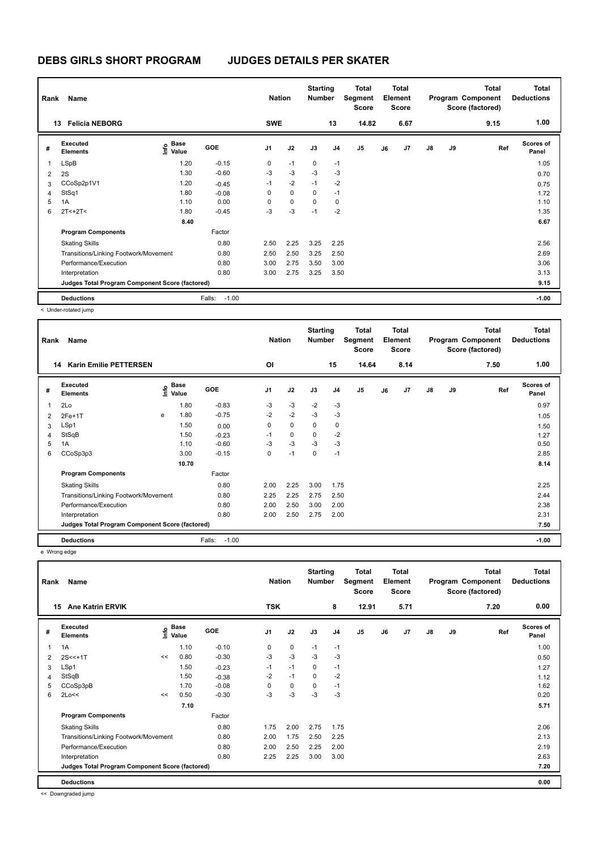| Rank           | Name                                            |                                  | <b>Nation</b>     |                | <b>Starting</b><br><b>Number</b> |             | <b>Total</b><br>Segment<br><b>Score</b> |                | Total<br>Element<br><b>Score</b> |      |               | Total<br>Program Component<br>Score (factored) | <b>Total</b><br><b>Deductions</b> |                           |
|----------------|-------------------------------------------------|----------------------------------|-------------------|----------------|----------------------------------|-------------|-----------------------------------------|----------------|----------------------------------|------|---------------|------------------------------------------------|-----------------------------------|---------------------------|
|                | <b>Felicia NEBORG</b><br>13                     |                                  |                   | <b>SWE</b>     |                                  |             | 13                                      | 14.82          |                                  | 6.67 |               |                                                | 9.15                              | 1.00                      |
| #              | Executed<br><b>Elements</b>                     | <b>Base</b><br>e Base<br>⊆ Value | GOE               | J <sub>1</sub> | J2                               | J3          | J <sub>4</sub>                          | J <sub>5</sub> | J6                               | J7   | $\mathsf{J}8$ | J9                                             | Ref                               | <b>Scores of</b><br>Panel |
| $\overline{1}$ | LSpB                                            | 1.20                             | $-0.15$           | 0              | $-1$                             | $\mathbf 0$ | $-1$                                    |                |                                  |      |               |                                                |                                   | 1.05                      |
| 2              | 2S                                              | 1.30                             | $-0.60$           | $-3$           | $-3$                             | $-3$        | $-3$                                    |                |                                  |      |               |                                                |                                   | 0.70                      |
| 3              | CCoSp2p1V1                                      | 1.20                             | $-0.45$           | $-1$           | $-2$                             | $-1$        | $-2$                                    |                |                                  |      |               |                                                |                                   | 0.75                      |
| 4              | StSq1                                           | 1.80                             | $-0.08$           | 0              | $\mathbf 0$                      | $\Omega$    | $-1$                                    |                |                                  |      |               |                                                |                                   | 1.72                      |
| 5              | 1A                                              | 1.10                             | 0.00              | 0              | $\mathbf 0$                      | 0           | 0                                       |                |                                  |      |               |                                                |                                   | 1.10                      |
| 6              | $2T < +2T <$                                    | 1.80                             | $-0.45$           | $-3$           | $-3$                             | $-1$        | $-2$                                    |                |                                  |      |               |                                                |                                   | 1.35                      |
|                |                                                 | 8.40                             |                   |                |                                  |             |                                         |                |                                  |      |               |                                                |                                   | 6.67                      |
|                | <b>Program Components</b>                       |                                  | Factor            |                |                                  |             |                                         |                |                                  |      |               |                                                |                                   |                           |
|                | <b>Skating Skills</b>                           |                                  | 0.80              | 2.50           | 2.25                             | 3.25        | 2.25                                    |                |                                  |      |               |                                                |                                   | 2.56                      |
|                | Transitions/Linking Footwork/Movement           |                                  | 0.80              | 2.50           | 2.50                             | 3.25        | 2.50                                    |                |                                  |      |               |                                                |                                   | 2.69                      |
|                | Performance/Execution                           |                                  | 0.80              | 3.00           | 2.75                             | 3.50        | 3.00                                    |                |                                  |      |               |                                                |                                   | 3.06                      |
|                | Interpretation                                  |                                  | 0.80              | 3.00           | 2.75                             | 3.25        | 3.50                                    |                |                                  |      |               |                                                |                                   | 3.13                      |
|                | Judges Total Program Component Score (factored) |                                  |                   |                |                                  |             |                                         |                |                                  |      |               |                                                |                                   | 9.15                      |
|                | <b>Deductions</b>                               |                                  | $-1.00$<br>Falls: |                |                                  |             |                                         |                |                                  |      |               |                                                |                                   | $-1.00$                   |

< Under-rotated jump

| Name<br>Rank   |                                                 |   |                                  |                   |                | <b>Nation</b> |             | <b>Starting</b><br><b>Number</b> | <b>Total</b><br>Segment<br><b>Score</b> | <b>Total</b><br>Element<br><b>Score</b> |      | Program Component |    | <b>Total</b><br>Score (factored) | <b>Total</b><br><b>Deductions</b> |
|----------------|-------------------------------------------------|---|----------------------------------|-------------------|----------------|---------------|-------------|----------------------------------|-----------------------------------------|-----------------------------------------|------|-------------------|----|----------------------------------|-----------------------------------|
|                | <b>Karin Emilie PETTERSEN</b><br>14             |   |                                  |                   | ΟI             |               |             | 15                               | 14.64                                   |                                         | 8.14 |                   |    | 7.50                             | 1.00                              |
| #              | Executed<br><b>Elements</b>                     |   | <b>Base</b><br>e Base<br>⊑ Value | <b>GOE</b>        | J <sub>1</sub> | J2            | J3          | J <sub>4</sub>                   | J <sub>5</sub>                          | J6                                      | J7   | $\mathsf{J}8$     | J9 | Ref                              | <b>Scores of</b><br>Panel         |
| $\overline{1}$ | 2Lo                                             |   | 1.80                             | $-0.83$           | $-3$           | $-3$          | $-2$        | $-3$                             |                                         |                                         |      |                   |    |                                  | 0.97                              |
| $\overline{2}$ | $2Fe+1T$                                        | e | 1.80                             | $-0.75$           | $-2$           | $-2$          | $-3$        | $-3$                             |                                         |                                         |      |                   |    |                                  | 1.05                              |
| 3              | LSp1                                            |   | 1.50                             | 0.00              | 0              | $\mathbf 0$   | $\mathbf 0$ | 0                                |                                         |                                         |      |                   |    |                                  | 1.50                              |
| 4              | StSqB                                           |   | 1.50                             | $-0.23$           | $-1$           | $\mathbf 0$   | $\mathbf 0$ | $-2$                             |                                         |                                         |      |                   |    |                                  | 1.27                              |
| 5              | 1A                                              |   | 1.10                             | $-0.60$           | -3             | $-3$          | $-3$        | $-3$                             |                                         |                                         |      |                   |    |                                  | 0.50                              |
| 6              | CCoSp3p3                                        |   | 3.00                             | $-0.15$           | 0              | $-1$          | 0           | $-1$                             |                                         |                                         |      |                   |    |                                  | 2.85                              |
|                | 10.70                                           |   |                                  |                   |                |               |             |                                  |                                         |                                         |      |                   |    |                                  | 8.14                              |
|                | <b>Program Components</b>                       |   |                                  | Factor            |                |               |             |                                  |                                         |                                         |      |                   |    |                                  |                                   |
|                | <b>Skating Skills</b>                           |   |                                  | 0.80              | 2.00           | 2.25          | 3.00        | 1.75                             |                                         |                                         |      |                   |    |                                  | 2.25                              |
|                | Transitions/Linking Footwork/Movement           |   |                                  | 0.80              | 2.25           | 2.25          | 2.75        | 2.50                             |                                         |                                         |      |                   |    |                                  | 2.44                              |
|                | Performance/Execution                           |   |                                  | 0.80              | 2.00           | 2.50          | 3.00        | 2.00                             |                                         |                                         |      |                   |    |                                  | 2.38                              |
|                | Interpretation                                  |   |                                  | 0.80              | 2.00           | 2.50          | 2.75        | 2.00                             |                                         |                                         |      |                   |    |                                  | 2.31                              |
|                | Judges Total Program Component Score (factored) |   |                                  |                   |                |               |             |                                  |                                         |                                         |      |                   |    |                                  | 7.50                              |
|                | <b>Deductions</b>                               |   |                                  | $-1.00$<br>Falls: |                |               |             |                                  |                                         |                                         |      |                   |    |                                  | $-1.00$                           |

e Wrong edge

| Rank | Name                                            |                   | <b>Nation</b> |            | <b>Starting</b><br><b>Number</b> | Total<br>Segment<br><b>Score</b> |      | <b>Total</b><br>Element<br><b>Score</b> |                | <b>Total</b><br>Program Component<br>Score (factored) |                | <b>Total</b><br><b>Deductions</b> |      |      |                           |
|------|-------------------------------------------------|-------------------|---------------|------------|----------------------------------|----------------------------------|------|-----------------------------------------|----------------|-------------------------------------------------------|----------------|-----------------------------------|------|------|---------------------------|
| 15   | <b>Ane Katrin ERVIK</b>                         |                   |               |            | <b>TSK</b>                       |                                  |      | 8                                       | 12.91          |                                                       | 5.71           |                                   |      | 7.20 | 0.00                      |
| #    | Executed<br><b>Elements</b>                     | e Base<br>⊆ Value | Base          | <b>GOE</b> | J <sub>1</sub>                   | J2                               | J3   | J <sub>4</sub>                          | J <sub>5</sub> | J6                                                    | J <sub>7</sub> | $\mathsf{J}8$                     | J9   | Ref  | <b>Scores of</b><br>Panel |
| 1    | 1A                                              |                   | 1.10          | $-0.10$    | 0                                | 0                                | $-1$ | $-1$                                    |                |                                                       |                |                                   |      |      | 1.00                      |
| 2    | $2S < +1T$                                      | <<                | 0.80          | $-0.30$    | $-3$                             | $-3$                             | $-3$ | $-3$                                    |                |                                                       |                |                                   |      |      | 0.50                      |
| 3    | LSp1                                            |                   | 1.50          | $-0.23$    | $-1$                             | $-1$                             | 0    | $-1$                                    |                |                                                       |                |                                   |      |      | 1.27                      |
| 4    | StSqB                                           |                   | 1.50          | $-0.38$    | -2                               | $-1$                             | 0    | $-2$                                    |                |                                                       |                |                                   |      |      | 1.12                      |
| 5    | CCoSp3pB                                        |                   | 1.70          | $-0.08$    | 0                                | $\mathbf 0$                      | 0    | -1                                      |                |                                                       |                |                                   |      |      | 1.62                      |
| 6    | 2Lo<<                                           | <<                | 0.50          | $-0.30$    | $-3$                             | $-3$                             | $-3$ | -3                                      |                |                                                       |                |                                   |      |      | 0.20                      |
|      |                                                 |                   | 7.10          |            |                                  |                                  |      |                                         |                |                                                       |                |                                   |      |      | 5.71                      |
|      | <b>Program Components</b>                       |                   |               | Factor     |                                  |                                  |      |                                         |                |                                                       |                |                                   |      |      |                           |
|      | <b>Skating Skills</b>                           |                   |               | 0.80       | 1.75                             | 2.00                             | 2.75 | 1.75                                    |                |                                                       |                |                                   |      |      | 2.06                      |
|      | Transitions/Linking Footwork/Movement           | 0.80              | 2.00          | 1.75       | 2.50                             | 2.25                             |      |                                         |                |                                                       |                |                                   | 2.13 |      |                           |
|      | Performance/Execution                           |                   |               | 0.80       | 2.00                             | 2.50                             | 2.25 | 2.00                                    |                |                                                       |                |                                   |      |      | 2.19                      |
|      | Interpretation                                  |                   |               | 0.80       | 2.25                             | 2.25                             | 3.00 | 3.00                                    |                |                                                       |                |                                   |      |      | 2.63                      |
|      | Judges Total Program Component Score (factored) |                   |               |            |                                  |                                  |      |                                         |                |                                                       |                |                                   |      |      | 7.20                      |
|      | <b>Deductions</b>                               |                   |               |            |                                  |                                  |      |                                         |                |                                                       |                |                                   |      |      | 0.00                      |

<< Downgraded jump